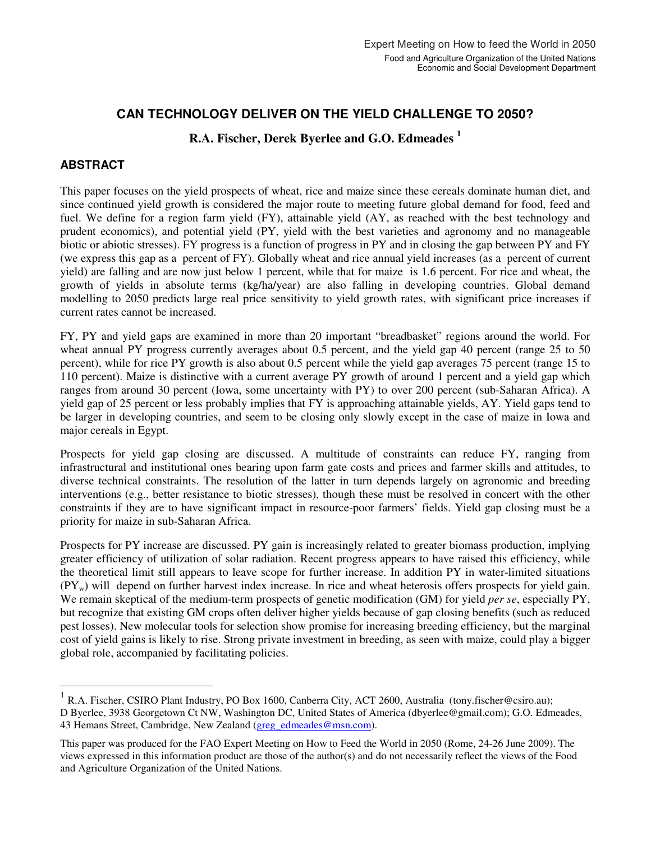# **CAN TECHNOLOGY DELIVER ON THE YIELD CHALLENGE TO 2050?**

# **R.A. Fischer, Derek Byerlee and G.O. Edmeades <sup>1</sup>**

#### **ABSTRACT**

 $\overline{a}$ 

This paper focuses on the yield prospects of wheat, rice and maize since these cereals dominate human diet, and since continued yield growth is considered the major route to meeting future global demand for food, feed and fuel. We define for a region farm yield (FY), attainable yield (AY, as reached with the best technology and prudent economics), and potential yield (PY, yield with the best varieties and agronomy and no manageable biotic or abiotic stresses). FY progress is a function of progress in PY and in closing the gap between PY and FY (we express this gap as a percent of FY). Globally wheat and rice annual yield increases (as a percent of current yield) are falling and are now just below 1 percent, while that for maize is 1.6 percent. For rice and wheat, the growth of yields in absolute terms (kg/ha/year) are also falling in developing countries. Global demand modelling to 2050 predicts large real price sensitivity to yield growth rates, with significant price increases if current rates cannot be increased.

FY, PY and yield gaps are examined in more than 20 important "breadbasket" regions around the world. For wheat annual PY progress currently averages about 0.5 percent, and the yield gap 40 percent (range 25 to 50 percent), while for rice PY growth is also about 0.5 percent while the yield gap averages 75 percent (range 15 to 110 percent). Maize is distinctive with a current average PY growth of around 1 percent and a yield gap which ranges from around 30 percent (Iowa, some uncertainty with PY) to over 200 percent (sub-Saharan Africa). A yield gap of 25 percent or less probably implies that FY is approaching attainable yields, AY. Yield gaps tend to be larger in developing countries, and seem to be closing only slowly except in the case of maize in Iowa and major cereals in Egypt.

Prospects for yield gap closing are discussed. A multitude of constraints can reduce FY, ranging from infrastructural and institutional ones bearing upon farm gate costs and prices and farmer skills and attitudes, to diverse technical constraints. The resolution of the latter in turn depends largely on agronomic and breeding interventions (e.g., better resistance to biotic stresses), though these must be resolved in concert with the other constraints if they are to have significant impact in resource-poor farmers' fields. Yield gap closing must be a priority for maize in sub-Saharan Africa.

Prospects for PY increase are discussed. PY gain is increasingly related to greater biomass production, implying greater efficiency of utilization of solar radiation. Recent progress appears to have raised this efficiency, while the theoretical limit still appears to leave scope for further increase. In addition PY in water-limited situations  $(PY_w)$  will depend on further harvest index increase. In rice and wheat heterosis offers prospects for yield gain. We remain skeptical of the medium-term prospects of genetic modification (GM) for yield *per se*, especially PY, but recognize that existing GM crops often deliver higher yields because of gap closing benefits (such as reduced pest losses). New molecular tools for selection show promise for increasing breeding efficiency, but the marginal cost of yield gains is likely to rise. Strong private investment in breeding, as seen with maize, could play a bigger global role, accompanied by facilitating policies.

<sup>1</sup> R.A. Fischer, CSIRO Plant Industry, PO Box 1600, Canberra City, ACT 2600, Australia (tony.fischer@csiro.au); D Byerlee, 3938 Georgetown Ct NW, Washington DC, United States of America (dbyerlee@gmail.com); G.O. Edmeades, 43 Hemans Street, Cambridge, New Zealand (greg\_edmeades@msn.com).

This paper was produced for the FAO Expert Meeting on How to Feed the World in 2050 (Rome, 24-26 June 2009). The views expressed in this information product are those of the author(s) and do not necessarily reflect the views of the Food and Agriculture Organization of the United Nations.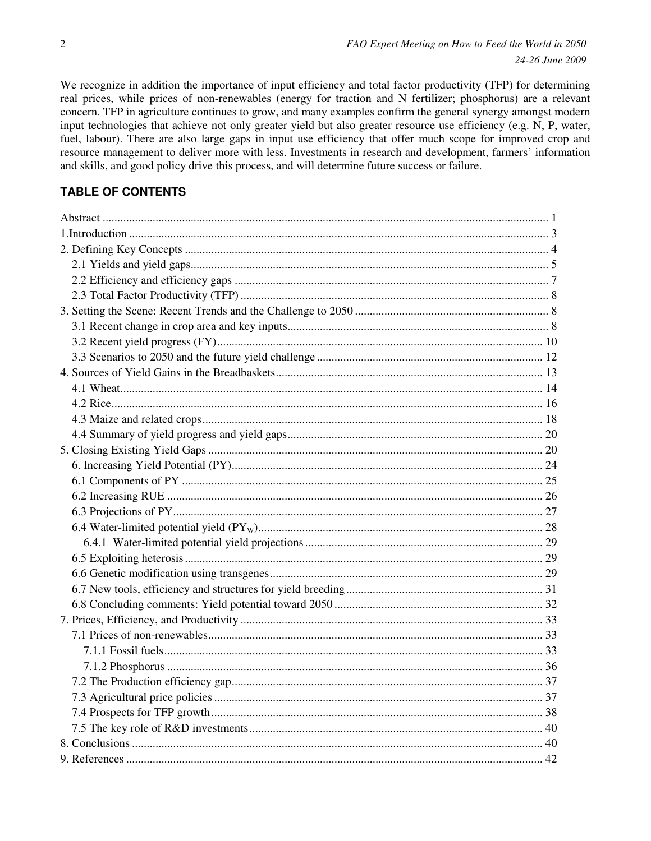We recognize in addition the importance of input efficiency and total factor productivity (TFP) for determining real prices, while prices of non-renewables (energy for traction and N fertilizer; phosphorus) are a relevant concern. TFP in agriculture continues to grow, and many examples confirm the general synergy amongst modern input technologies that achieve not only greater yield but also greater resource use efficiency (e.g. N, P, water, fuel, labour). There are also large gaps in input use efficiency that offer much scope for improved crop and resource management to deliver more with less. Investments in research and development, farmers' information and skills, and good policy drive this process, and will determine future success or failure.

# **TABLE OF CONTENTS**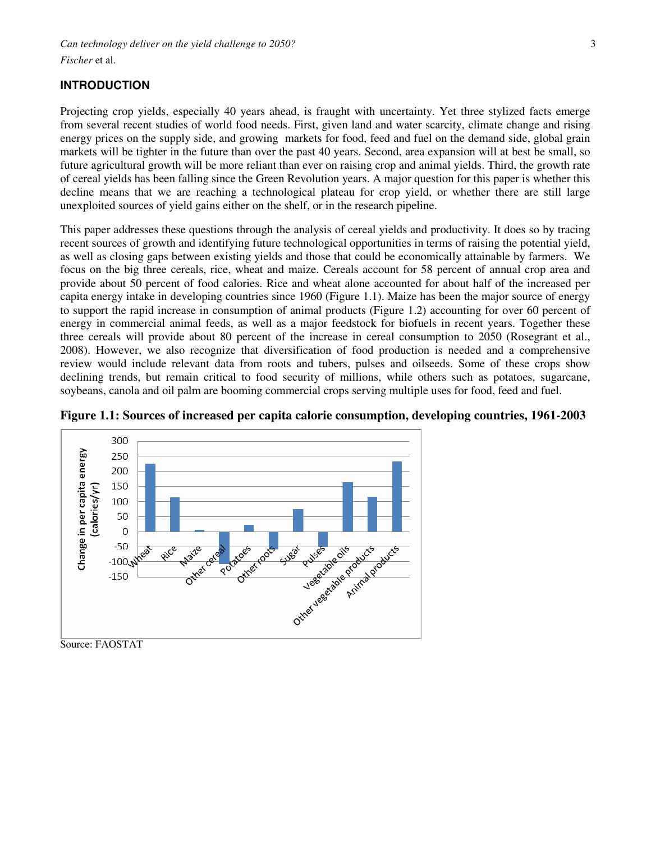## **INTRODUCTION**

Projecting crop yields, especially 40 years ahead, is fraught with uncertainty. Yet three stylized facts emerge from several recent studies of world food needs. First, given land and water scarcity, climate change and rising energy prices on the supply side, and growing markets for food, feed and fuel on the demand side, global grain markets will be tighter in the future than over the past 40 years. Second, area expansion will at best be small, so future agricultural growth will be more reliant than ever on raising crop and animal yields. Third, the growth rate of cereal yields has been falling since the Green Revolution years. A major question for this paper is whether this decline means that we are reaching a technological plateau for crop yield, or whether there are still large unexploited sources of yield gains either on the shelf, or in the research pipeline.

This paper addresses these questions through the analysis of cereal yields and productivity. It does so by tracing recent sources of growth and identifying future technological opportunities in terms of raising the potential yield, as well as closing gaps between existing yields and those that could be economically attainable by farmers. We focus on the big three cereals, rice, wheat and maize. Cereals account for 58 percent of annual crop area and provide about 50 percent of food calories. Rice and wheat alone accounted for about half of the increased per capita energy intake in developing countries since 1960 (Figure 1.1). Maize has been the major source of energy to support the rapid increase in consumption of animal products (Figure 1.2) accounting for over 60 percent of energy in commercial animal feeds, as well as a major feedstock for biofuels in recent years. Together these three cereals will provide about 80 percent of the increase in cereal consumption to 2050 (Rosegrant et al., 2008). However, we also recognize that diversification of food production is needed and a comprehensive review would include relevant data from roots and tubers, pulses and oilseeds. Some of these crops show declining trends, but remain critical to food security of millions, while others such as potatoes, sugarcane, soybeans, canola and oil palm are booming commercial crops serving multiple uses for food, feed and fuel.



**Figure 1.1: Sources of increased per capita calorie consumption, developing countries, 1961-2003** 

Source: FAOSTAT